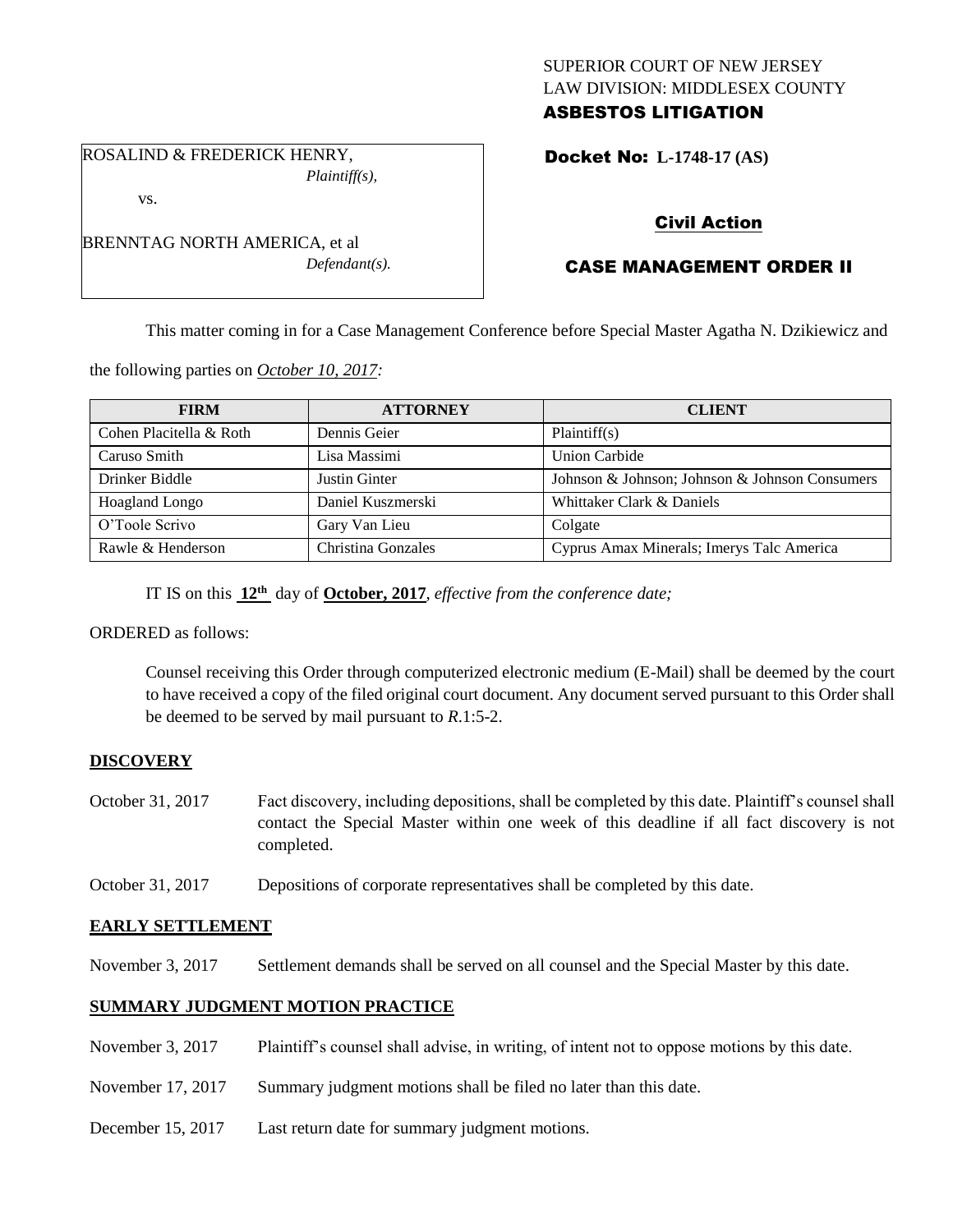#### SUPERIOR COURT OF NEW JERSEY LAW DIVISION: MIDDLESEX COUNTY ASBESTOS LITIGATION

ROSALIND & FREDERICK HENRY, *Plaintiff(s),*

vs.

BRENNTAG NORTH AMERICA, et al *Defendant(s).*

#### Docket No: **L-1748-17 (AS)**

# Civil Action

# CASE MANAGEMENT ORDER II

This matter coming in for a Case Management Conference before Special Master Agatha N. Dzikiewicz and

the following parties on *October 10, 2017:*

| <b>FIRM</b>             | <b>ATTORNEY</b>      | <b>CLIENT</b>                                  |
|-------------------------|----------------------|------------------------------------------------|
| Cohen Placitella & Roth | Dennis Geier         | Plaintiff(s)                                   |
| Caruso Smith            | Lisa Massimi         | <b>Union Carbide</b>                           |
| Drinker Biddle          | <b>Justin Ginter</b> | Johnson & Johnson; Johnson & Johnson Consumers |
| Hoagland Longo          | Daniel Kuszmerski    | Whittaker Clark & Daniels                      |
| O'Toole Scrivo          | Gary Van Lieu        | Colgate                                        |
| Rawle & Henderson       | Christina Gonzales   | Cyprus Amax Minerals; Imerys Talc America      |

IT IS on this  $12<sup>th</sup>$  day of **October, 2017**, *effective from the conference date*;

ORDERED as follows:

Counsel receiving this Order through computerized electronic medium (E-Mail) shall be deemed by the court to have received a copy of the filed original court document. Any document served pursuant to this Order shall be deemed to be served by mail pursuant to *R*.1:5-2.

# **DISCOVERY**

- October 31, 2017 Fact discovery, including depositions, shall be completed by this date. Plaintiff's counsel shall contact the Special Master within one week of this deadline if all fact discovery is not completed.
- October 31, 2017 Depositions of corporate representatives shall be completed by this date.

# **EARLY SETTLEMENT**

November 3, 2017 Settlement demands shall be served on all counsel and the Special Master by this date.

# **SUMMARY JUDGMENT MOTION PRACTICE**

- November 3, 2017 Plaintiff's counsel shall advise, in writing, of intent not to oppose motions by this date.
- November 17, 2017 Summary judgment motions shall be filed no later than this date.
- December 15, 2017 Last return date for summary judgment motions.